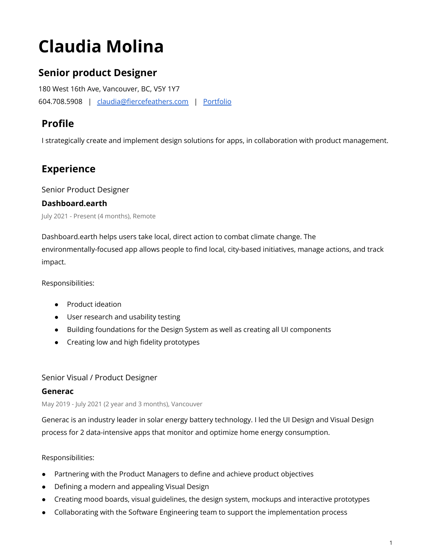# **Claudia Molina**

# **Senior product Designer**

180 West 16th Ave, Vancouver, BC, V5Y 1Y7 604.708.5908 | [claudia@fiercefeathers.com](mailto:claudia@fiercefeathers.com) | [Portfolio](http://uxfol.io/claudiamolina)

# **Profile**

I strategically create and implement design solutions for apps, in collaboration with product management.

# **Experience**

Senior Product Designer

#### **Dashboard.earth**

July 2021 - Present (4 months), Remote

Dashboard.earth helps users take local, direct action to combat climate change. The environmentally-focused app allows people to find local, city-based initiatives, manage actions, and track impact.

Responsibilities:

- Product ideation
- User research and usability testing
- Building foundations for the Design System as well as creating all UI components
- Creating low and high fidelity prototypes

## Senior Visual / Product Designer

#### **Generac**

May 2019 - July 2021 (2 year and 3 months), Vancouver

Generac is an industry leader in solar energy battery technology. I led the UI Design and Visual Design process for 2 data-intensive apps that monitor and optimize home energy consumption.

#### Responsibilities:

- Partnering with the Product Managers to define and achieve product objectives
- Defining a modern and appealing Visual Design
- Creating mood boards, visual guidelines, the design system, mockups and interactive prototypes
- Collaborating with the Software Engineering team to support the implementation process